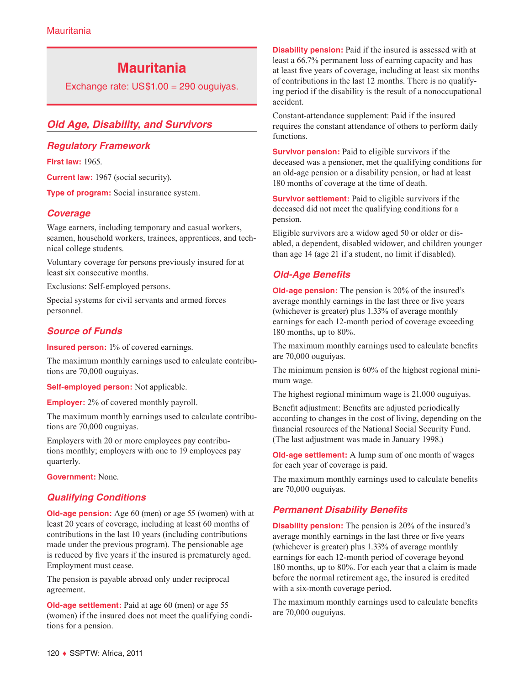# **Mauritania**

Exchange rate: US\$1.00 = 290 ouguiyas.

## *Old Age, Disability, and Survivors*

#### *Regulatory Framework*

**First law:** 1965.

**Current law:** 1967 (social security).

**Type of program:** Social insurance system.

### *Coverage*

Wage earners, including temporary and casual workers, seamen, household workers, trainees, apprentices, and technical college students.

Voluntary coverage for persons previously insured for at least six consecutive months.

Exclusions: Self-employed persons.

Special systems for civil servants and armed forces personnel.

### *Source of Funds*

**Insured person:** 1% of covered earnings.

The maximum monthly earnings used to calculate contributions are 70,000 ouguiyas.

**Self-employed person:** Not applicable.

**Employer:** 2% of covered monthly payroll.

The maximum monthly earnings used to calculate contributions are 70,000 ouguiyas.

Employers with 20 or more employees pay contributions monthly; employers with one to 19 employees pay quarterly.

**Government:** None.

### *Qualifying Conditions*

**Old-age pension:** Age 60 (men) or age 55 (women) with at least 20 years of coverage, including at least 60 months of contributions in the last 10 years (including contributions made under the previous program). The pensionable age is reduced by five years if the insured is prematurely aged. Employment must cease.

The pension is payable abroad only under reciprocal agreement.

**Old-age settlement:** Paid at age 60 (men) or age 55 (women) if the insured does not meet the qualifying conditions for a pension.

**Disability pension:** Paid if the insured is assessed with at least a 66.7% permanent loss of earning capacity and has at least five years of coverage, including at least six months of contributions in the last 12 months. There is no qualifying period if the disability is the result of a nonoccupational accident.

Constant-attendance supplement: Paid if the insured requires the constant attendance of others to perform daily functions.

**Survivor pension:** Paid to eligible survivors if the deceased was a pensioner, met the qualifying conditions for an old-age pension or a disability pension, or had at least 180 months of coverage at the time of death.

**Survivor settlement:** Paid to eligible survivors if the deceased did not meet the qualifying conditions for a pension.

Eligible survivors are a widow aged 50 or older or disabled, a dependent, disabled widower, and children younger than age 14 (age 21 if a student, no limit if disabled).

## *Old-Age Benefits*

**Old-age pension:** The pension is 20% of the insured's average monthly earnings in the last three or five years (whichever is greater) plus 1.33% of average monthly earnings for each 12-month period of coverage exceeding 180 months, up to 80%.

The maximum monthly earnings used to calculate benefits are 70,000 ouguiyas.

The minimum pension is 60% of the highest regional minimum wage.

The highest regional minimum wage is 21,000 ouguiyas.

Benefit adjustment: Benefits are adjusted periodically according to changes in the cost of living, depending on the financial resources of the National Social Security Fund. (The last adjustment was made in January 1998.)

**Old-age settlement:** A lump sum of one month of wages for each year of coverage is paid.

The maximum monthly earnings used to calculate benefits are 70,000 ouguiyas.

### *Permanent Disability Benefits*

**Disability pension:** The pension is 20% of the insured's average monthly earnings in the last three or five years (whichever is greater) plus 1.33% of average monthly earnings for each 12-month period of coverage beyond 180 months, up to 80%. For each year that a claim is made before the normal retirement age, the insured is credited with a six-month coverage period.

The maximum monthly earnings used to calculate benefits are 70,000 ouguiyas.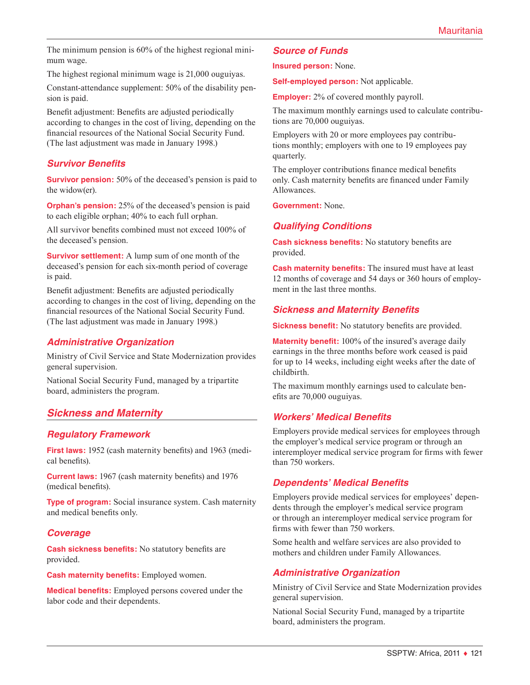The minimum pension is 60% of the highest regional minimum wage.

The highest regional minimum wage is 21,000 ouguiyas.

Constant-attendance supplement: 50% of the disability pension is paid.

Benefit adjustment: Benefits are adjusted periodically according to changes in the cost of living, depending on the financial resources of the National Social Security Fund. (The last adjustment was made in January 1998.)

### *Survivor Benefits*

**Survivor pension:** 50% of the deceased's pension is paid to the widow(er).

**Orphan's pension:** 25% of the deceased's pension is paid to each eligible orphan; 40% to each full orphan.

All survivor benefits combined must not exceed 100% of the deceased's pension.

**Survivor settlement:** A lump sum of one month of the deceased's pension for each six-month period of coverage is paid.

Benefit adjustment: Benefits are adjusted periodically according to changes in the cost of living, depending on the financial resources of the National Social Security Fund. (The last adjustment was made in January 1998.)

#### *Administrative Organization*

Ministry of Civil Service and State Modernization provides general supervision.

National Social Security Fund, managed by a tripartite board, administers the program.

### *Sickness and Maternity*

### *Regulatory Framework*

**First laws:** 1952 (cash maternity benefits) and 1963 (medical benefits).

**Current laws:** 1967 (cash maternity benefits) and 1976 (medical benefits).

**Type of program:** Social insurance system. Cash maternity and medical benefits only.

### *Coverage*

**Cash sickness benefits:** No statutory benefits are provided.

**Cash maternity benefits:** Employed women.

**Medical benefits:** Employed persons covered under the labor code and their dependents.

#### *Source of Funds*

**Insured person:** None.

**Self-employed person:** Not applicable.

**Employer:** 2% of covered monthly payroll.

The maximum monthly earnings used to calculate contributions are 70,000 ouguiyas.

Employers with 20 or more employees pay contributions monthly; employers with one to 19 employees pay quarterly.

The employer contributions finance medical benefits only. Cash maternity benefits are financed under Family Allowances.

**Government:** None.

#### *Qualifying Conditions*

**Cash sickness benefits:** No statutory benefits are provided.

**Cash maternity benefits:** The insured must have at least 12 months of coverage and 54 days or 360 hours of employment in the last three months.

#### *Sickness and Maternity Benefits*

**Sickness benefit:** No statutory benefits are provided.

**Maternity benefit:** 100% of the insured's average daily earnings in the three months before work ceased is paid for up to 14 weeks, including eight weeks after the date of childbirth.

The maximum monthly earnings used to calculate benefits are 70,000 ouguiyas.

#### *Workers' Medical Benefits*

Employers provide medical services for employees through the employer's medical service program or through an interemployer medical service program for firms with fewer than 750 workers.

#### *Dependents' Medical Benefits*

Employers provide medical services for employees' dependents through the employer's medical service program or through an interemployer medical service program for firms with fewer than 750 workers.

Some health and welfare services are also provided to mothers and children under Family Allowances.

### *Administrative Organization*

Ministry of Civil Service and State Modernization provides general supervision.

National Social Security Fund, managed by a tripartite board, administers the program.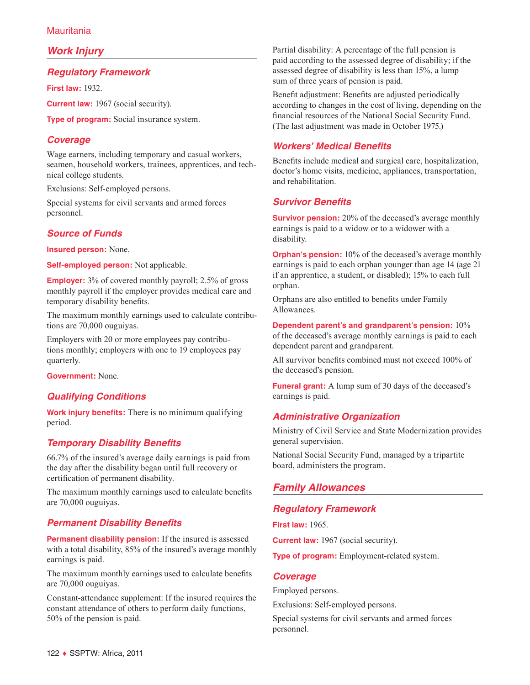## *Work Injury*

#### *Regulatory Framework*

**First law:** 1932.

**Current law:** 1967 (social security).

**Type of program:** Social insurance system.

### *Coverage*

Wage earners, including temporary and casual workers, seamen, household workers, trainees, apprentices, and technical college students.

Exclusions: Self-employed persons.

Special systems for civil servants and armed forces personnel.

## *Source of Funds*

**Insured person:** None.

**Self-employed person:** Not applicable.

**Employer:** 3% of covered monthly payroll; 2.5% of gross monthly payroll if the employer provides medical care and temporary disability benefits.

The maximum monthly earnings used to calculate contributions are 70,000 ouguiyas.

Employers with 20 or more employees pay contributions monthly; employers with one to 19 employees pay quarterly.

**Government:** None.

### *Qualifying Conditions*

**Work injury benefits:** There is no minimum qualifying period.

### *Temporary Disability Benefits*

66.7% of the insured's average daily earnings is paid from the day after the disability began until full recovery or certification of permanent disability.

The maximum monthly earnings used to calculate benefits are 70,000 ouguiyas.

### *Permanent Disability Benefits*

**Permanent disability pension:** If the insured is assessed with a total disability, 85% of the insured's average monthly earnings is paid.

The maximum monthly earnings used to calculate benefits are 70,000 ouguiyas.

Constant-attendance supplement: If the insured requires the constant attendance of others to perform daily functions, 50% of the pension is paid.

Partial disability: A percentage of the full pension is paid according to the assessed degree of disability; if the assessed degree of disability is less than 15%, a lump sum of three years of pension is paid.

Benefit adjustment: Benefits are adjusted periodically according to changes in the cost of living, depending on the financial resources of the National Social Security Fund. (The last adjustment was made in October 1975.)

## *Workers' Medical Benefits*

Benefits include medical and surgical care, hospitalization, doctor's home visits, medicine, appliances, transportation, and rehabilitation.

## *Survivor Benefits*

**Survivor pension:** 20% of the deceased's average monthly earnings is paid to a widow or to a widower with a disability.

**Orphan's pension:** 10% of the deceased's average monthly earnings is paid to each orphan younger than age 14 (age 21 if an apprentice, a student, or disabled); 15% to each full orphan.

Orphans are also entitled to benefits under Family Allowances.

**Dependent parent's and grandparent's pension:** 10% of the deceased's average monthly earnings is paid to each dependent parent and grandparent.

All survivor benefits combined must not exceed 100% of the deceased's pension.

**Funeral grant:** A lump sum of 30 days of the deceased's earnings is paid.

## *Administrative Organization*

Ministry of Civil Service and State Modernization provides general supervision.

National Social Security Fund, managed by a tripartite board, administers the program.

## *Family Allowances*

## *Regulatory Framework*

**First law:** 1965.

**Current law:** 1967 (social security).

**Type of program:** Employment-related system.

#### *Coverage*

Employed persons.

Exclusions: Self-employed persons.

Special systems for civil servants and armed forces personnel.